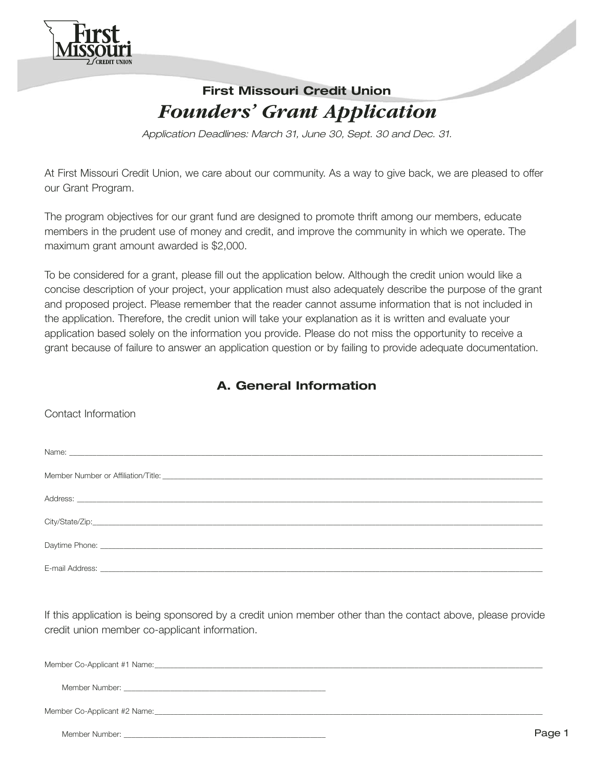

## **First Missouri Credit Union** *Founders' Grant Application*

*Application Deadlines: March 31, June 30, Sept. 30 and Dec. 31.*

At First Missouri Credit Union, we care about our community. As a way to give back, we are pleased to offer our Grant Program.

The program objectives for our grant fund are designed to promote thrift among our members, educate members in the prudent use of money and credit, and improve the community in which we operate. The maximum grant amount awarded is \$2,000.

To be considered for a grant, please fill out the application below. Although the credit union would like a concise description of your project, your application must also adequately describe the purpose of the grant and proposed project. Please remember that the reader cannot assume information that is not included in the application. Therefore, the credit union will take your explanation as it is written and evaluate your application based solely on the information you provide. Please do not miss the opportunity to receive a grant because of failure to answer an application question or by failing to provide adequate documentation.

## **A. General Information**

Name: \_\_\_\_\_\_\_\_\_\_\_\_\_\_\_\_\_\_\_\_\_\_\_\_\_\_\_\_\_\_\_\_\_\_\_\_\_\_\_\_\_\_\_\_\_\_\_\_\_\_\_\_\_\_\_\_\_\_\_\_\_\_\_\_\_\_\_\_\_\_\_\_\_\_\_\_\_\_\_\_\_\_\_\_\_\_\_\_\_\_\_\_\_\_\_\_\_\_\_\_\_\_\_\_\_\_\_\_\_\_\_\_\_\_\_\_\_\_\_\_\_\_ Member Number or Affiliation/Title: \_\_\_\_\_\_\_\_\_\_\_\_\_\_\_\_\_\_\_\_\_\_\_\_\_\_\_\_\_\_\_\_\_\_\_\_\_\_\_\_\_\_\_\_\_\_\_\_\_\_\_\_\_\_\_\_\_\_\_\_\_\_\_\_\_\_\_\_\_\_\_\_\_\_\_\_\_\_\_\_\_\_\_\_\_\_\_\_\_\_\_\_\_\_\_\_\_\_ Address: \_\_\_\_\_\_\_\_\_\_\_\_\_\_\_\_\_\_\_\_\_\_\_\_\_\_\_\_\_\_\_\_\_\_\_\_\_\_\_\_\_\_\_\_\_\_\_\_\_\_\_\_\_\_\_\_\_\_\_\_\_\_\_\_\_\_\_\_\_\_\_\_\_\_\_\_\_\_\_\_\_\_\_\_\_\_\_\_\_\_\_\_\_\_\_\_\_\_\_\_\_\_\_\_\_\_\_\_\_\_\_\_\_\_\_\_\_\_\_\_ City/State/Zip: Daytime Phone: \_ E-mail Address:

If this application is being sponsored by a credit union member other than the contact above, please provide credit union member co-applicant information.

| Member Co-Applicant #1 Name:                                                                                                           |  |
|----------------------------------------------------------------------------------------------------------------------------------------|--|
| Member Number:<br><u> 1980 - Jan James James San James San James San James San James San James San James San James San James San J</u> |  |
| Member Co-Applicant #2 Name:                                                                                                           |  |

Member Number:

Contact Information